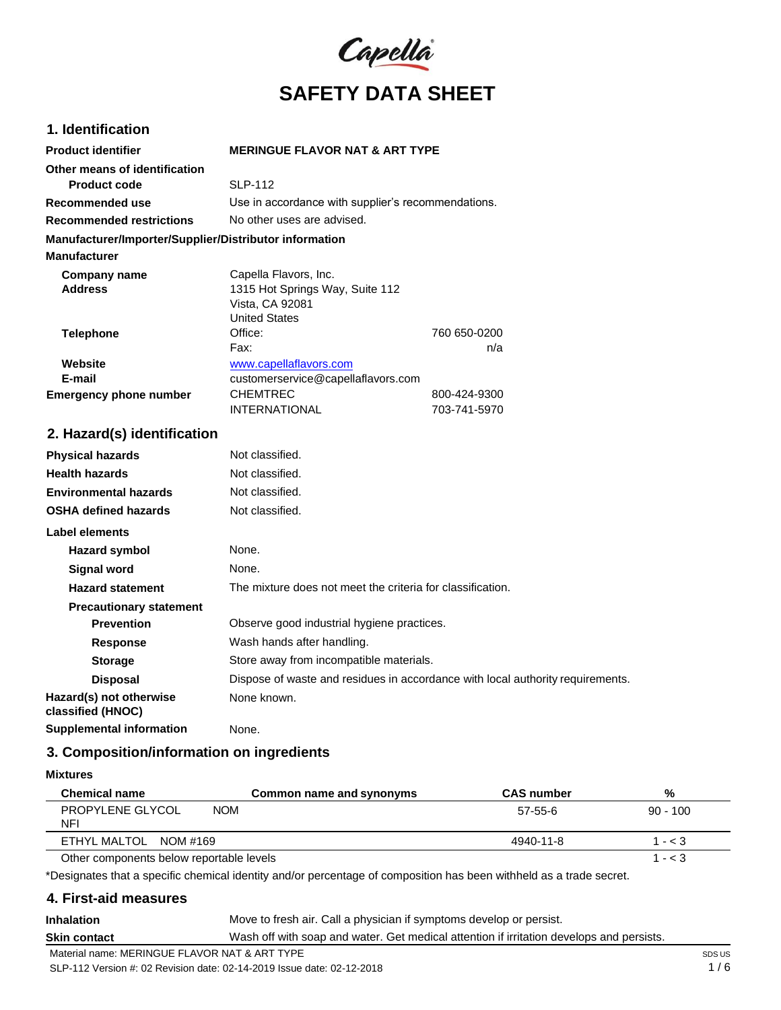

### **1. Identification**

| <b>Product identifier</b>                              | <b>MERINGUE FLAVOR NAT &amp; ART TYPE</b>          |              |
|--------------------------------------------------------|----------------------------------------------------|--------------|
| Other means of identification                          |                                                    |              |
| Product code                                           | <b>SLP-112</b>                                     |              |
| Recommended use                                        | Use in accordance with supplier's recommendations. |              |
| <b>Recommended restrictions</b>                        | No other uses are advised.                         |              |
| Manufacturer/Importer/Supplier/Distributor information |                                                    |              |
| <b>Manufacturer</b>                                    |                                                    |              |
| Company name                                           | Capella Flavors, Inc.                              |              |
| <b>Address</b>                                         | 1315 Hot Springs Way, Suite 112                    |              |
|                                                        | Vista, CA 92081                                    |              |
|                                                        | <b>United States</b>                               |              |
| <b>Telephone</b>                                       | Office:                                            | 760 650-0200 |
|                                                        | Fax:                                               | n/a          |
| Website                                                | www.capellaflavors.com                             |              |
| E-mail                                                 | customerservice@capellaflavors.com                 |              |
| <b>Emergency phone number</b>                          | <b>CHEMTREC</b>                                    | 800-424-9300 |
|                                                        | <b>INTERNATIONAL</b>                               | 703-741-5970 |

# **2. Hazard(s) identification**

| <b>Physical hazards</b>                      | Not classified.                                                                |
|----------------------------------------------|--------------------------------------------------------------------------------|
| <b>Health hazards</b>                        | Not classified.                                                                |
| <b>Environmental hazards</b>                 | Not classified.                                                                |
| <b>OSHA defined hazards</b>                  | Not classified.                                                                |
| Label elements                               |                                                                                |
| Hazard symbol                                | None.                                                                          |
| Signal word                                  | None.                                                                          |
| <b>Hazard statement</b>                      | The mixture does not meet the criteria for classification.                     |
| <b>Precautionary statement</b>               |                                                                                |
| <b>Prevention</b>                            | Observe good industrial hygiene practices.                                     |
| <b>Response</b>                              | Wash hands after handling.                                                     |
| <b>Storage</b>                               | Store away from incompatible materials.                                        |
| <b>Disposal</b>                              | Dispose of waste and residues in accordance with local authority requirements. |
| Hazard(s) not otherwise<br>classified (HNOC) | None known.                                                                    |
| <b>Supplemental information</b>              | None.                                                                          |

### **3. Composition/information on ingredients**

**Mixtures**

| <b>Chemical name</b>                     | Common name and synonyms | <b>CAS</b> number | %          |
|------------------------------------------|--------------------------|-------------------|------------|
| PROPYLENE GLYCOL<br><b>NOM</b><br>NFI    |                          | 57-55-6           | $90 - 100$ |
| ETHYL MALTOL NOM #169                    |                          | 4940-11-8         | $1 - < 3$  |
| Other components below reportable levels |                          |                   | 1 - $<$ 3  |

\*Designates that a specific chemical identity and/or percentage of composition has been withheld as a trade secret.

### **4. First-aid measures**

**Inhalation Skin contact** Move to fresh air. Call a physician if symptoms develop or persist. Wash off with soap and water. Get medical attention if irritation develops and persists.

Material name: MERINGUE FLAVOR NAT & ART TYPE

SLP-112 Version #: 02 Revision date: 02-14-2019 Issue date: 02-12-2018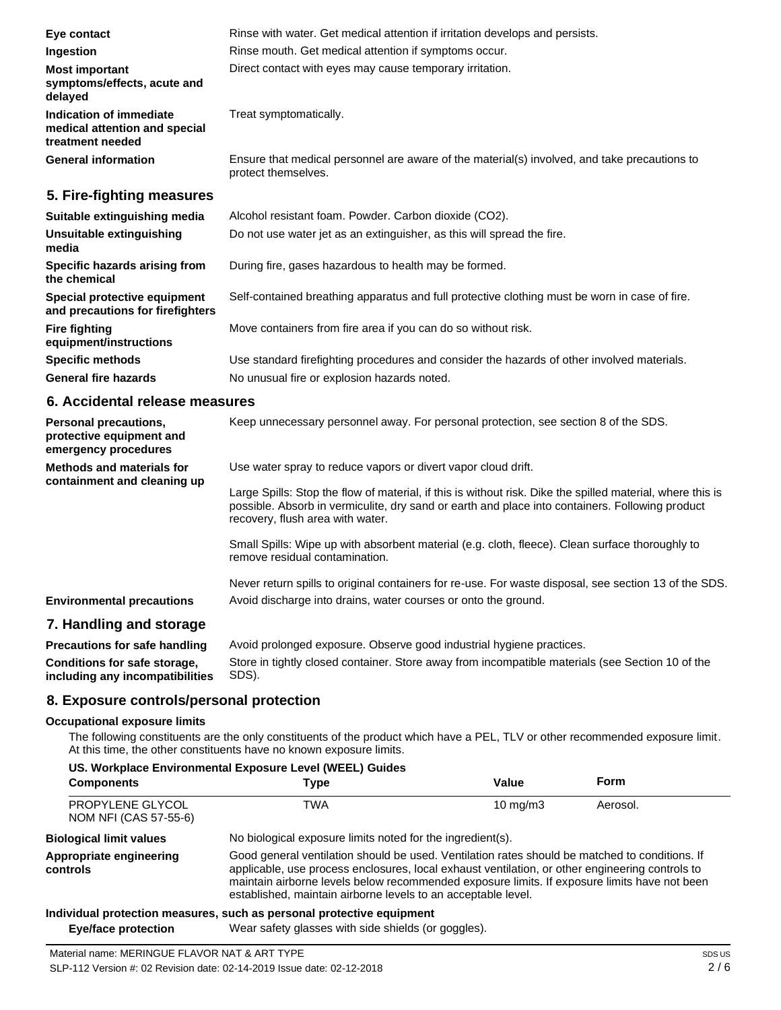| Eye contact                                                                  | Rinse with water. Get medical attention if irritation develops and persists.                                        |
|------------------------------------------------------------------------------|---------------------------------------------------------------------------------------------------------------------|
| Ingestion                                                                    | Rinse mouth. Get medical attention if symptoms occur.                                                               |
| <b>Most important</b><br>symptoms/effects, acute and<br>delayed              | Direct contact with eyes may cause temporary irritation.                                                            |
| Indication of immediate<br>medical attention and special<br>treatment needed | Treat symptomatically.                                                                                              |
| <b>General information</b>                                                   | Ensure that medical personnel are aware of the material(s) involved, and take precautions to<br>protect themselves. |
| 5. Fire-fighting measures                                                    |                                                                                                                     |
| Suitable extinguishing media                                                 | Alcohol resistant foam. Powder. Carbon dioxide (CO2).                                                               |
| Unsuitable extinguishing<br>media                                            | Do not use water jet as an extinguisher, as this will spread the fire.                                              |
| Specific hazards arising from<br>the chemical                                | During fire, gases hazardous to health may be formed.                                                               |
| Special protective equipment<br>and precautions for firefighters             | Self-contained breathing apparatus and full protective clothing must be worn in case of fire.                       |
| <b>Fire fighting</b><br>equipment/instructions                               | Move containers from fire area if you can do so without risk.                                                       |
| <b>Specific methods</b>                                                      | Use standard firefighting procedures and consider the hazards of other involved materials.                          |

No unusual fire or explosion hazards noted.

**General fire hazards**

### **6. Accidental release measures**

| <b>Personal precautions,</b><br>protective equipment and<br>emergency procedures | Keep unnecessary personnel away. For personal protection, see section 8 of the SDS.                                                                                                                                                                                                                                |
|----------------------------------------------------------------------------------|--------------------------------------------------------------------------------------------------------------------------------------------------------------------------------------------------------------------------------------------------------------------------------------------------------------------|
| Methods and materials for<br>containment and cleaning up                         | Use water spray to reduce vapors or divert vapor cloud drift.<br>Large Spills: Stop the flow of material, if this is without risk. Dike the spilled material, where this is<br>possible. Absorb in vermiculite, dry sand or earth and place into containers. Following product<br>recovery, flush area with water. |
|                                                                                  | Small Spills: Wipe up with absorbent material (e.g. cloth, fleece). Clean surface thoroughly to<br>remove residual contamination.                                                                                                                                                                                  |
| <b>Environmental precautions</b>                                                 | Never return spills to original containers for re-use. For waste disposal, see section 13 of the SDS.<br>Avoid discharge into drains, water courses or onto the ground.                                                                                                                                            |
| 7 Here dille a service and a service                                             |                                                                                                                                                                                                                                                                                                                    |

## **7. Handling and storage**

| <b>Precautions for safe handling</b> | Avoid prolonged exposure. Observe good industrial hygiene practices.                             |
|--------------------------------------|--------------------------------------------------------------------------------------------------|
| Conditions for safe storage,         | Store in tightly closed container. Store away from incompatible materials (see Section 10 of the |
| including any incompatibilities      | SDS).                                                                                            |

## **8. Exposure controls/personal protection**

### **Occupational exposure limits**

The following constituents are the only constituents of the product which have a PEL, TLV or other recommended exposure limit. At this time, the other constituents have no known exposure limits.

| <b>Components</b>                         | Type                                                                                                                                                                                                                                                                                                                                                               | Value             | Form     |
|-------------------------------------------|--------------------------------------------------------------------------------------------------------------------------------------------------------------------------------------------------------------------------------------------------------------------------------------------------------------------------------------------------------------------|-------------------|----------|
| PROPYLENE GLYCOL<br>NOM NFI (CAS 57-55-6) | TWA                                                                                                                                                                                                                                                                                                                                                                | $10 \text{ mg/m}$ | Aerosol. |
| <b>Biological limit values</b>            | No biological exposure limits noted for the ingredient(s).                                                                                                                                                                                                                                                                                                         |                   |          |
| Appropriate engineering<br>controls       | Good general ventilation should be used. Ventilation rates should be matched to conditions. If<br>applicable, use process enclosures, local exhaust ventilation, or other engineering controls to<br>maintain airborne levels below recommended exposure limits. If exposure limits have not been<br>established, maintain airborne levels to an acceptable level. |                   |          |

### **Individual protection measures, such as personal protective equipment**

**Eye/face protection** Wear safety glasses with side shields (or goggles).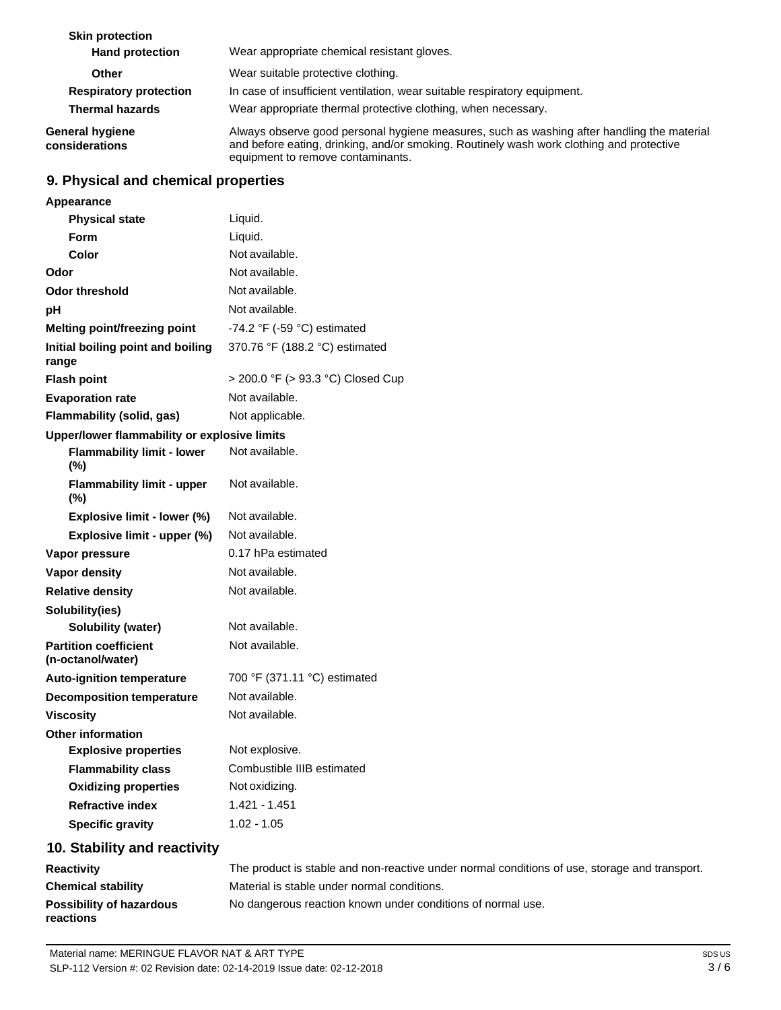| <b>Skin protection</b><br><b>Hand protection</b> | Wear appropriate chemical resistant gloves.                                                                                                                                                                                 |
|--------------------------------------------------|-----------------------------------------------------------------------------------------------------------------------------------------------------------------------------------------------------------------------------|
| Other                                            | Wear suitable protective clothing.                                                                                                                                                                                          |
| <b>Respiratory protection</b>                    | In case of insufficient ventilation, wear suitable respiratory equipment.                                                                                                                                                   |
| <b>Thermal hazards</b>                           | Wear appropriate thermal protective clothing, when necessary.                                                                                                                                                               |
| <b>General hygiene</b><br>considerations         | Always observe good personal hygiene measures, such as washing after handling the material<br>and before eating, drinking, and/or smoking. Routinely wash work clothing and protective<br>equipment to remove contaminants. |

# **9. Physical and chemical properties**

| Appearance                                        |                                               |
|---------------------------------------------------|-----------------------------------------------|
| <b>Physical state</b>                             | Liquid.                                       |
| Form                                              | Liquid.                                       |
| Color                                             | Not available.                                |
| Odor                                              | Not available.                                |
| <b>Odor threshold</b>                             | Not available.                                |
| рH                                                | Not available.                                |
| Melting point/freezing point                      | -74.2 $\degree$ F (-59 $\degree$ C) estimated |
| Initial boiling point and boiling<br>range        | 370.76 °F (188.2 °C) estimated                |
| <b>Flash point</b>                                | > 200.0 °F (> 93.3 °C) Closed Cup             |
| <b>Evaporation rate</b>                           | Not available.                                |
| <b>Flammability (solid, gas)</b>                  | Not applicable.                               |
| Upper/lower flammability or explosive limits      |                                               |
| <b>Flammability limit - lower</b><br>$(\%)$       | Not available.                                |
| <b>Flammability limit - upper</b><br>$(\%)$       | Not available.                                |
| Explosive limit - lower (%)                       | Not available.                                |
| Explosive limit - upper (%)                       | Not available.                                |
| Vapor pressure                                    | 0.17 hPa estimated                            |
| <b>Vapor density</b>                              | Not available.                                |
| <b>Relative density</b>                           | Not available.                                |
| Solubility(ies)                                   |                                               |
| <b>Solubility (water)</b>                         | Not available.                                |
| <b>Partition coefficient</b><br>(n-octanol/water) | Not available.                                |
| <b>Auto-ignition temperature</b>                  | 700 °F (371.11 °C) estimated                  |
| <b>Decomposition temperature</b>                  | Not available.                                |
| <b>Viscosity</b>                                  | Not available.                                |
| <b>Other information</b>                          |                                               |
| <b>Explosive properties</b>                       | Not explosive.                                |
| <b>Flammability class</b>                         | Combustible IIIB estimated                    |
| <b>Oxidizing properties</b>                       | Not oxidizing.                                |
| <b>Refractive index</b>                           | 1.421 - 1.451                                 |
| <b>Specific gravity</b>                           | $1.02 - 1.05$                                 |
|                                                   |                                               |

## **10. Stability and reactivity**

| <b>Reactivity</b>               | The product is stable and non-reactive under normal conditions of use, storage and transport. |
|---------------------------------|-----------------------------------------------------------------------------------------------|
| <b>Chemical stability</b>       | Material is stable under normal conditions.                                                   |
| <b>Possibility of hazardous</b> | No dangerous reaction known under conditions of normal use.                                   |
| reactions                       |                                                                                               |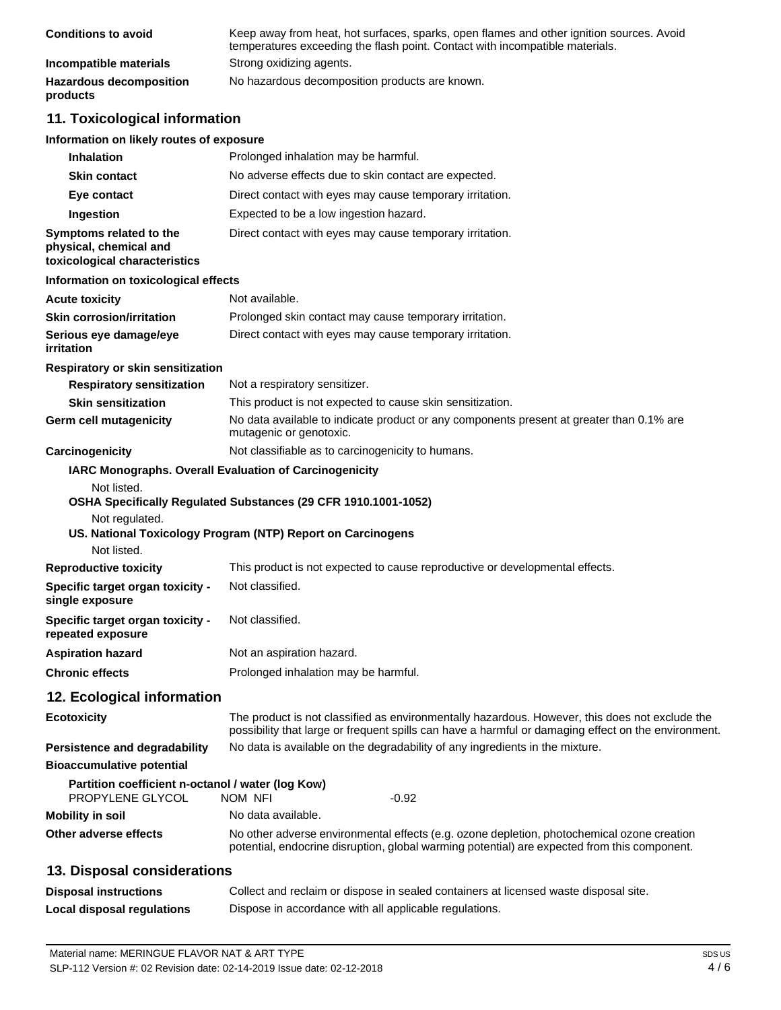| <b>Conditions to avoid</b>                 | Keep away from heat, hot surfaces, sparks, open flames and other ignition sources. Avoid<br>temperatures exceeding the flash point. Contact with incompatible materials. |
|--------------------------------------------|--------------------------------------------------------------------------------------------------------------------------------------------------------------------------|
| Incompatible materials                     | Strong oxidizing agents.                                                                                                                                                 |
| <b>Hazardous decomposition</b><br>products | No hazardous decomposition products are known.                                                                                                                           |

# **11. Toxicological information**

### **Information on likely routes of exposure**

| <b>Inhalation</b>                                                                  | Prolonged inhalation may be harmful.                                                                                                                                                                  |
|------------------------------------------------------------------------------------|-------------------------------------------------------------------------------------------------------------------------------------------------------------------------------------------------------|
| <b>Skin contact</b>                                                                | No adverse effects due to skin contact are expected.                                                                                                                                                  |
| Eye contact                                                                        | Direct contact with eyes may cause temporary irritation.                                                                                                                                              |
| Ingestion                                                                          | Expected to be a low ingestion hazard.                                                                                                                                                                |
| Symptoms related to the<br>physical, chemical and<br>toxicological characteristics | Direct contact with eyes may cause temporary irritation.                                                                                                                                              |
| Information on toxicological effects                                               |                                                                                                                                                                                                       |
| <b>Acute toxicity</b>                                                              | Not available.                                                                                                                                                                                        |
| <b>Skin corrosion/irritation</b>                                                   | Prolonged skin contact may cause temporary irritation.                                                                                                                                                |
| Serious eye damage/eye<br>irritation                                               | Direct contact with eyes may cause temporary irritation.                                                                                                                                              |
| Respiratory or skin sensitization                                                  |                                                                                                                                                                                                       |
| <b>Respiratory sensitization</b>                                                   | Not a respiratory sensitizer.                                                                                                                                                                         |
| <b>Skin sensitization</b>                                                          | This product is not expected to cause skin sensitization.                                                                                                                                             |
| Germ cell mutagenicity                                                             | No data available to indicate product or any components present at greater than 0.1% are<br>mutagenic or genotoxic.                                                                                   |
| Carcinogenicity                                                                    | Not classifiable as to carcinogenicity to humans.                                                                                                                                                     |
| Not listed.<br>Not regulated.<br>Not listed.                                       | IARC Monographs. Overall Evaluation of Carcinogenicity<br>OSHA Specifically Regulated Substances (29 CFR 1910.1001-1052)<br>US. National Toxicology Program (NTP) Report on Carcinogens               |
| <b>Reproductive toxicity</b>                                                       | This product is not expected to cause reproductive or developmental effects.                                                                                                                          |
| Specific target organ toxicity -<br>single exposure                                | Not classified.                                                                                                                                                                                       |
| Specific target organ toxicity -<br>repeated exposure                              | Not classified.                                                                                                                                                                                       |
| <b>Aspiration hazard</b>                                                           | Not an aspiration hazard.                                                                                                                                                                             |
| <b>Chronic effects</b>                                                             | Prolonged inhalation may be harmful.                                                                                                                                                                  |
| 12. Ecological information                                                         |                                                                                                                                                                                                       |
| <b>Ecotoxicity</b>                                                                 | The product is not classified as environmentally hazardous. However, this does not exclude the<br>possibility that large or frequent spills can have a harmful or damaging effect on the environment. |
| Persistence and degradability                                                      | No data is available on the degradability of any ingredients in the mixture.                                                                                                                          |
| <b>Bioaccumulative potential</b>                                                   |                                                                                                                                                                                                       |
| Partition coefficient n-octanol / water (log Kow)<br>PROPYLENE GLYCOL              | $-0.92$<br>NOM NFI                                                                                                                                                                                    |
| <b>Mobility in soil</b>                                                            | No data available.                                                                                                                                                                                    |
| Other adverse effects                                                              | No other adverse environmental effects (e.g. ozone depletion, photochemical ozone creation<br>potential, endocrine disruption, global warming potential) are expected from this component.            |
| 13. Disposal considerations                                                        |                                                                                                                                                                                                       |
| <b>Disposal instructions</b>                                                       | Collect and reclaim or dispose in sealed containers at licensed waste disposal site.                                                                                                                  |

**Local disposal regulations** Dispose in accordance with all applicable regulations.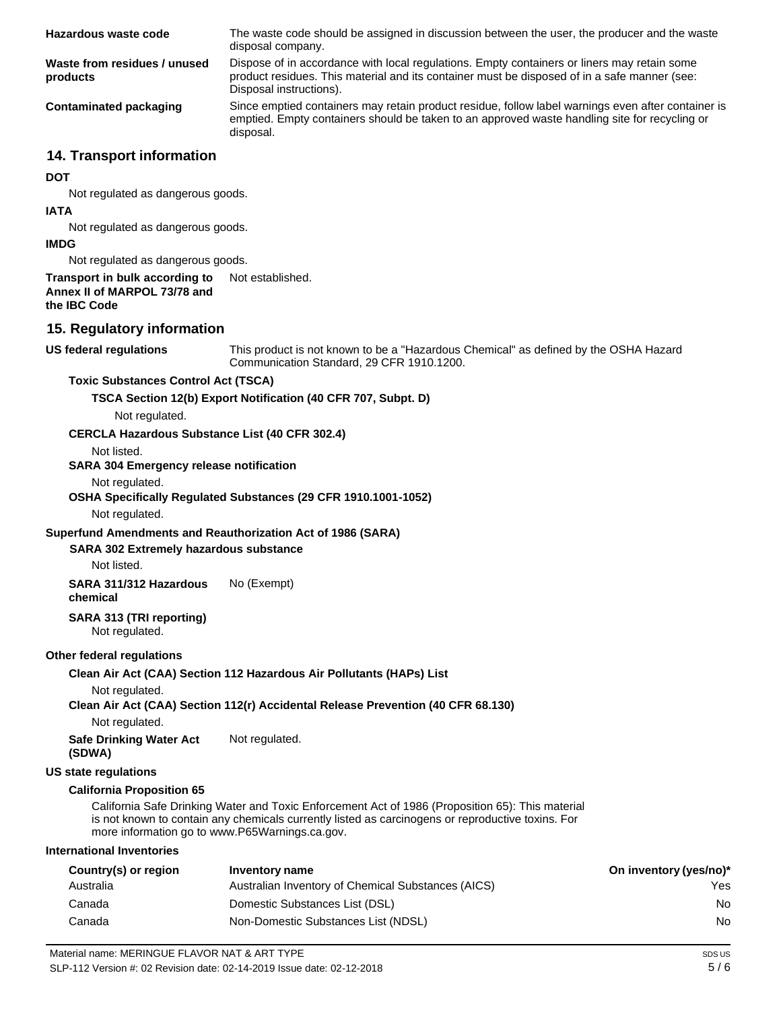| Hazardous waste code                     | The waste code should be assigned in discussion between the user, the producer and the waste<br>disposal company.                                                                                                      |
|------------------------------------------|------------------------------------------------------------------------------------------------------------------------------------------------------------------------------------------------------------------------|
| Waste from residues / unused<br>products | Dispose of in accordance with local regulations. Empty containers or liners may retain some<br>product residues. This material and its container must be disposed of in a safe manner (see:<br>Disposal instructions). |
| Contaminated packaging                   | Since emptied containers may retain product residue, follow label warnings even after container is<br>emptied. Empty containers should be taken to an approved waste handling site for recycling or<br>disposal.       |

### **14. Transport information**

#### **DOT**

Not regulated as dangerous goods.

#### **IATA**

Not regulated as dangerous goods.

#### **IMDG**

Not regulated as dangerous goods.

#### **Transport in bulk according to Annex II of MARPOL 73/78 and the IBC Code** Not established.

### **15. Regulatory information**

#### **US federal regulations**

This product is not known to be a "Hazardous Chemical" as defined by the OSHA Hazard Communication Standard, 29 CFR 1910.1200.

#### **Toxic Substances Control Act (TSCA)**

**TSCA Section 12(b) Export Notification (40 CFR 707, Subpt. D)**

# Not regulated.

#### **CERCLA Hazardous Substance List (40 CFR 302.4)**

Not listed.

#### **SARA 304 Emergency release notification**

#### Not regulated.

#### **OSHA Specifically Regulated Substances (29 CFR 1910.1001-1052)**

Not regulated.

#### **Superfund Amendments and Reauthorization Act of 1986 (SARA)**

#### **SARA 302 Extremely hazardous substance**

Not listed.

**SARA 311/312 Hazardous chemical** No (Exempt)

# **SARA 313 (TRI reporting)**

Not regulated.

#### **Other federal regulations**

#### **Clean Air Act (CAA) Section 112 Hazardous Air Pollutants (HAPs) List**

Not regulated.

### **Clean Air Act (CAA) Section 112(r) Accidental Release Prevention (40 CFR 68.130)**

Not regulated.

**Safe Drinking Water Act (SDWA)** Not regulated.

#### **US state regulations**

#### **California Proposition 65**

California Safe Drinking Water and Toxic Enforcement Act of 1986 (Proposition 65): This material is not known to contain any chemicals currently listed as carcinogens or reproductive toxins. For more information go to [www.P65Warnings.ca.gov.](http://www.p65warnings.ca.gov/)

#### **International Inventories**

| Country(s) or region | Inventory name                                     | On inventory (yes/no)* |
|----------------------|----------------------------------------------------|------------------------|
| Australia            | Australian Inventory of Chemical Substances (AICS) | Yes.                   |
| Canada               | Domestic Substances List (DSL)                     | No.                    |
| Canada               | Non-Domestic Substances List (NDSL)                | No.                    |